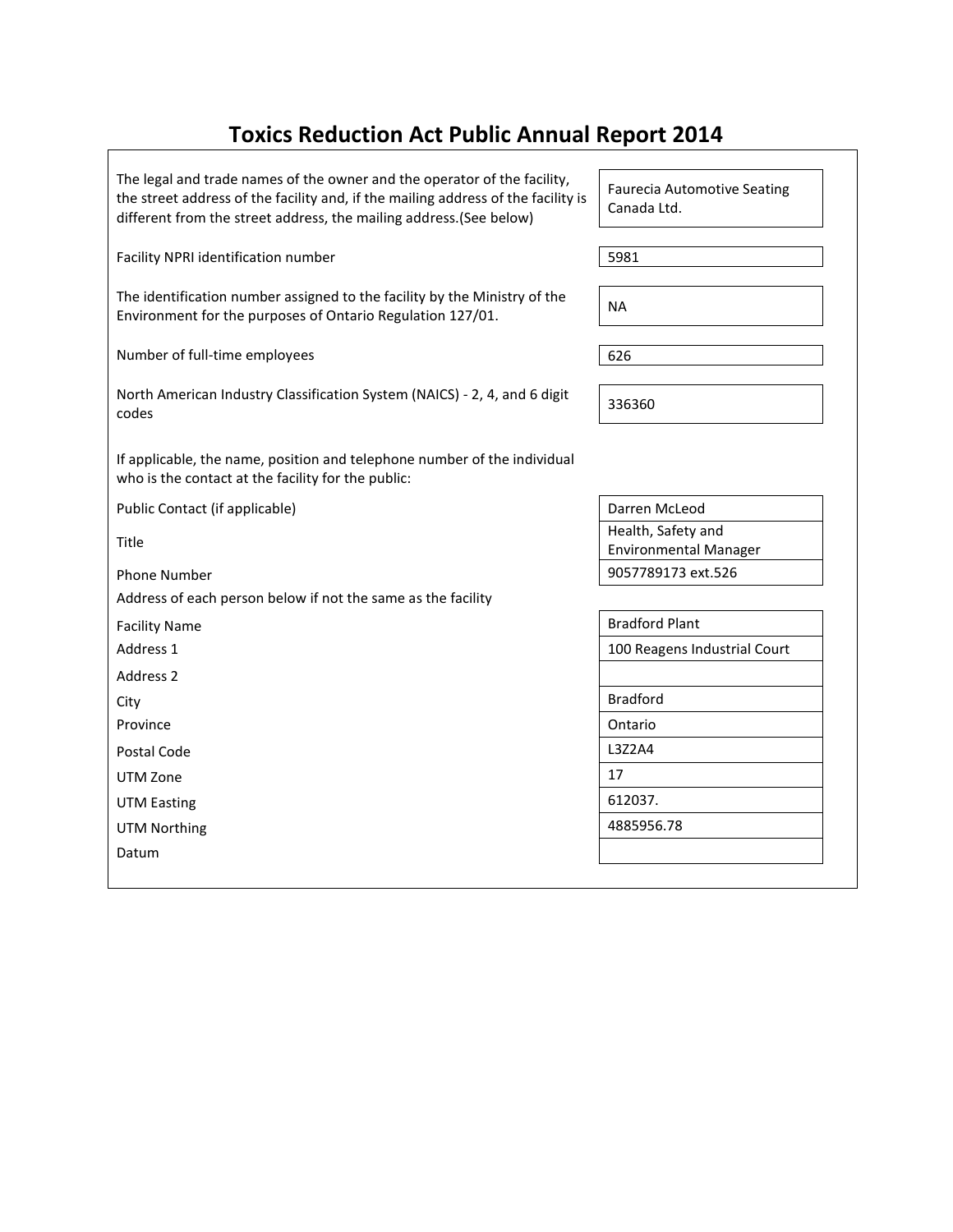# **Toxics Reduction Act Public Annual Report 2014**

The legal and trade names of the owner and the operator of the facility, the street address of the facility and, if the mailing address of the facility is different from the street address, the mailing address.(See below)

Facility NPRI identification number 5981

The identification number assigned to the facility by the Ministry of the Environment for the purposes of Ontario Regulation 127/01.

Number of full-time employees 626

| North American Industry Classification System (NAICS) - 2, 4, and 6 digit |        |  |
|---------------------------------------------------------------------------|--------|--|
| codes                                                                     | 336360 |  |

If applicable, the name, position and telephone number of the individual who is the contact at the facility for the public:

Public Contact (if applicable) Darren McLeod

Title

Address of each person below if not the same as the facility

Address 2

UTM Zone 2012 17

UTM Easting 612037.

UTM Northing 2008 2012 2022 2023 2024 2022 2023 2024 2022 2023 2024 2022 2023 2024 2022 2023 2024 2022 2023 20

Datum

Faurecia Automotive Seating Canada Ltd.

Health, Safety and Environmental Manager Phone Number 9057789173 ext.526

Facility Name **Bradford Plant** Address 1 100 Reagens Industrial Court City Bradford Province and a contract of the Contract of the Contract of Contract of Contract of Contract of Contract of Contract of Contract of Contract of Contract of Contract of Contract of Contract of Contract of Contract of Contrac Postal Code 2012 | L3Z2A4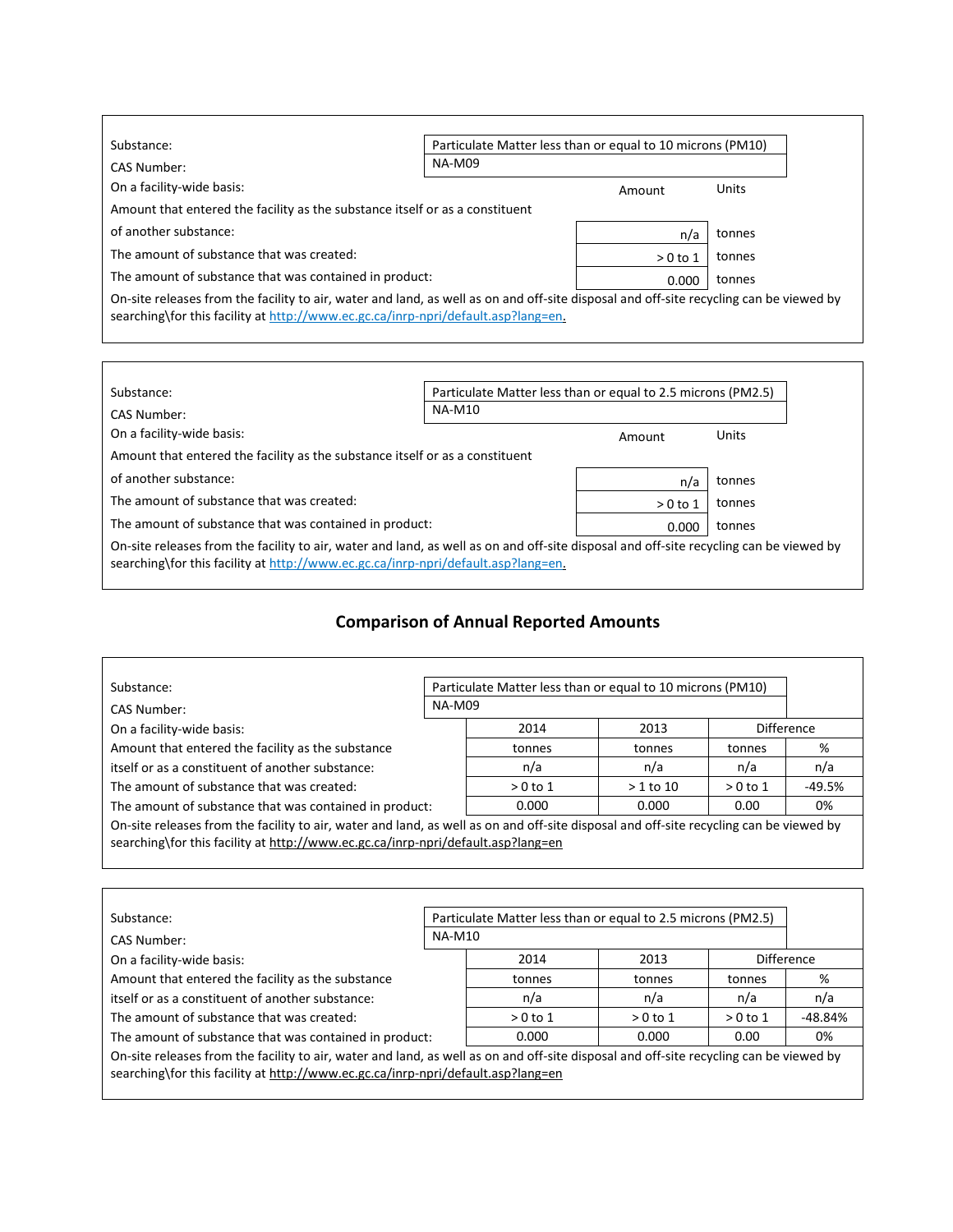| Substance:                                                                                                                             |               | Particulate Matter less than or equal to 10 microns (PM10) |              |  |
|----------------------------------------------------------------------------------------------------------------------------------------|---------------|------------------------------------------------------------|--------------|--|
| CAS Number:                                                                                                                            | <b>NA-M09</b> |                                                            |              |  |
| On a facility-wide basis:                                                                                                              |               | Amount                                                     | <b>Units</b> |  |
| Amount that entered the facility as the substance itself or as a constituent                                                           |               |                                                            |              |  |
| of another substance:                                                                                                                  |               | n/a                                                        | tonnes       |  |
| The amount of substance that was created:                                                                                              |               | $>0$ to 1                                                  | tonnes       |  |
| The amount of substance that was contained in product:                                                                                 |               | 0.000                                                      | tonnes       |  |
| On-site releases from the facility to air, water and land, as well as on and off-site disposal and off-site recycling can be viewed by |               |                                                            |              |  |

| searching\for this facility at http://www.ec.gc.ca/inrp-npri/default.asp?lang=en. |  |  |
|-----------------------------------------------------------------------------------|--|--|
|                                                                                   |  |  |

 $\Gamma$ 

| Substance:<br>CAS Number:                                                                                                              | Particulate Matter less than or equal to 2.5 microns (PM2.5)<br><b>NA-M10</b> |           |        |
|----------------------------------------------------------------------------------------------------------------------------------------|-------------------------------------------------------------------------------|-----------|--------|
| On a facility-wide basis:                                                                                                              |                                                                               | Amount    | Units  |
| Amount that entered the facility as the substance itself or as a constituent                                                           |                                                                               |           |        |
| of another substance:                                                                                                                  |                                                                               | n/a       | tonnes |
| The amount of substance that was created:                                                                                              |                                                                               | $>0$ to 1 | tonnes |
| The amount of substance that was contained in product:                                                                                 |                                                                               | 0.000     | tonnes |
| On-site releases from the facility to air, water and land, as well as on and off-site disposal and off-site recycling can be viewed by |                                                                               |           |        |
| searching\for this facility at http://www.ec.gc.ca/inrp-npri/default.asp?lang=en.                                                      |                                                                               |           |        |

## **Comparison of Annual Reported Amounts**

┑

| Substance:                                                                                                                                                                                                                 | Particulate Matter less than or equal to 10 microns (PM10) |           |            |            |        |  |
|----------------------------------------------------------------------------------------------------------------------------------------------------------------------------------------------------------------------------|------------------------------------------------------------|-----------|------------|------------|--------|--|
| CAS Number:                                                                                                                                                                                                                | <b>NA-M09</b>                                              |           |            |            |        |  |
| On a facility-wide basis:                                                                                                                                                                                                  |                                                            | 2014      | 2013       | Difference |        |  |
| Amount that entered the facility as the substance                                                                                                                                                                          |                                                            | tonnes    | tonnes     | tonnes     | %      |  |
| itself or as a constituent of another substance:                                                                                                                                                                           |                                                            | n/a       | n/a        | n/a        | n/a    |  |
| The amount of substance that was created:                                                                                                                                                                                  |                                                            | $>0$ to 1 | $>1$ to 10 | $>0$ to 1  | -49.5% |  |
| The amount of substance that was contained in product:                                                                                                                                                                     |                                                            | 0.000     | 0.000      | 0.00       | 0%     |  |
| On-site releases from the facility to air, water and land, as well as on and off-site disposal and off-site recycling can be viewed by<br>searching\for this facility at http://www.ec.gc.ca/inrp-npri/default.asp?lang=en |                                                            |           |            |            |        |  |
|                                                                                                                                                                                                                            |                                                            |           |            |            |        |  |

| Substance:                                                                                                                                                                                                                 | Particulate Matter less than or equal to 2.5 microns (PM2.5) |           |           |           |                   |  |
|----------------------------------------------------------------------------------------------------------------------------------------------------------------------------------------------------------------------------|--------------------------------------------------------------|-----------|-----------|-----------|-------------------|--|
| CAS Number:                                                                                                                                                                                                                | <b>NA-M10</b>                                                |           |           |           |                   |  |
| On a facility-wide basis:                                                                                                                                                                                                  |                                                              | 2014      | 2013      |           | <b>Difference</b> |  |
| Amount that entered the facility as the substance                                                                                                                                                                          |                                                              | tonnes    | tonnes    | tonnes    | %                 |  |
| itself or as a constituent of another substance:                                                                                                                                                                           |                                                              | n/a       | n/a       | n/a       | n/a               |  |
| The amount of substance that was created:                                                                                                                                                                                  |                                                              | $>0$ to 1 | $>0$ to 1 | $>0$ to 1 | -48.84%           |  |
| The amount of substance that was contained in product:                                                                                                                                                                     |                                                              | 0.000     | 0.000     | 0.00      | 0%                |  |
| On-site releases from the facility to air, water and land, as well as on and off-site disposal and off-site recycling can be viewed by<br>searching\for this facility at http://www.ec.gc.ca/inrp-npri/default.asp?lang=en |                                                              |           |           |           |                   |  |